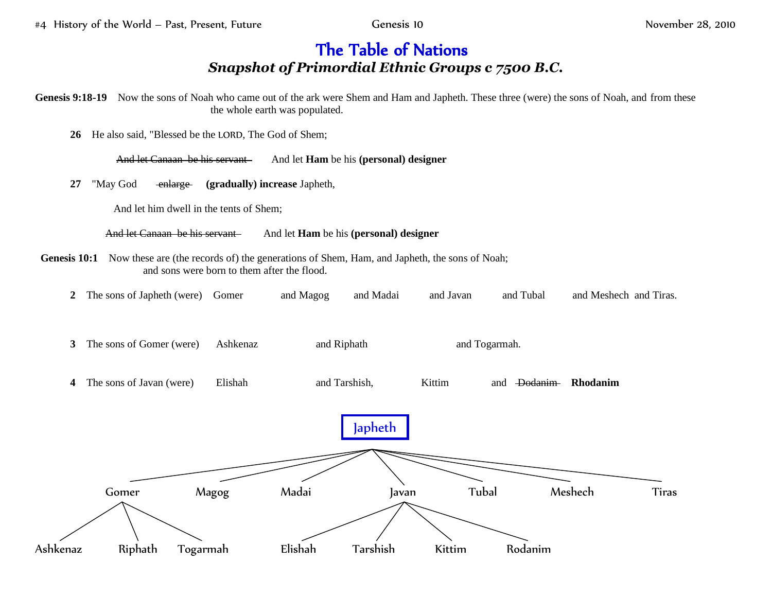## The Table of Nations *Snapshot of Primordial Ethnic Groups c 7500 B.C.*

Genesis 9:18-19 Now the sons of Noah who came out of the ark were Shem and Ham and Japheth. These three (were) the sons of Noah, and from these the whole earth was populated.

**26** He also said, "Blessed be the LORD, The God of Shem;

And let Canaan be his servant And let **Ham** be his (personal) designer

**27** "May God enlarge **(gradually) increase** Japheth,

And let him dwell in the tents of Shem;

And let Canaan be his servant And let **Ham** be his (**personal**) designer

- Genesis 10:1 Now these are (the records of) the generations of Shem, Ham, and Japheth, the sons of Noah; and sons were born to them after the flood.
	- **2** The sons of Japheth (were) Gomer and Magog and Madai and Javan and Tubal and Meshech and Tiras.
- **3** The sons of Gomer (were) Ashkenaz and Riphath and Togarmah. **4 The sons of Javan (were)** Elishah and Tarshish, Kittim and Dodanim **Rhodanim** Gomer Magog Madai Javan Tubal Meshech Tiras Ashkenaz Riphath Togarmah Elishah Tarshish Kittim Rodanim Japheth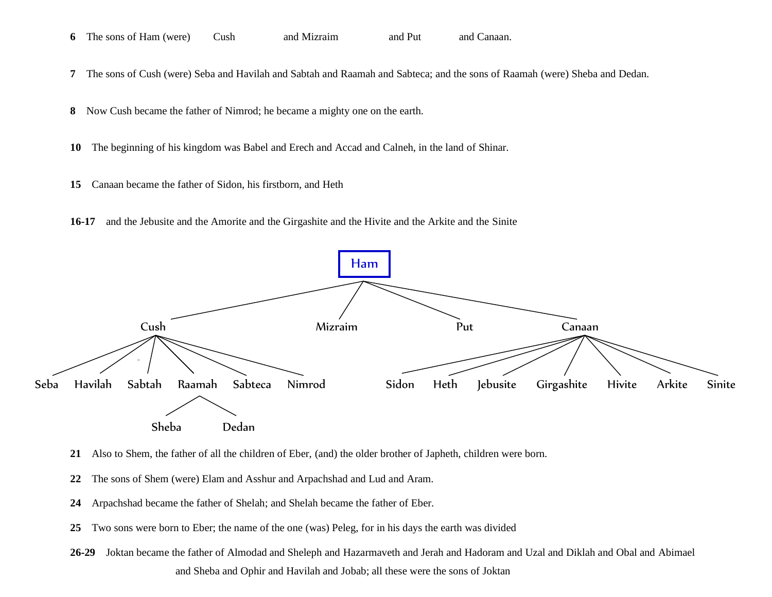**6** The sons of Ham (were) Cush and Mizraim and Put and Canaan.

**7** The sons of Cush (were) Seba and Havilah and Sabtah and Raamah and Sabteca; and the sons of Raamah (were) Sheba and Dedan.

**8** Now Cush became the father of Nimrod; he became a mighty one on the earth.

- **10** The beginning of his kingdom was Babel and Erech and Accad and Calneh, in the land of Shinar.
- **15** Canaan became the father of Sidon, his firstborn, and Heth
- **16-17** and the Jebusite and the Amorite and the Girgashite and the Hivite and the Arkite and the Sinite



- **21** Also to Shem, the father of all the children of Eber, (and) the older brother of Japheth, children were born.
- **22** The sons of Shem (were) Elam and Asshur and Arpachshad and Lud and Aram.
- **24** Arpachshad became the father of Shelah; and Shelah became the father of Eber.
- **25** Two sons were born to Eber; the name of the one (was) Peleg, for in his days the earth was divided
- **26-29** Joktan became the father of Almodad and Sheleph and Hazarmaveth and Jerah and Hadoram and Uzal and Diklah and Obal and Abimael and Sheba and Ophir and Havilah and Jobab; all these were the sons of Joktan